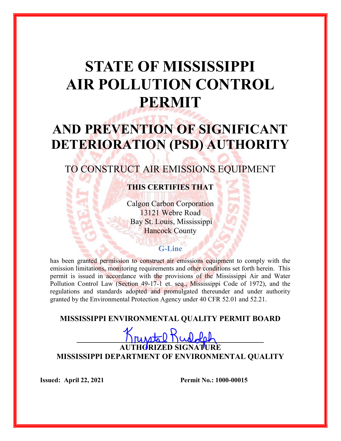# STATE OF MISSISSIPPI AIR POLLUTION CONTROL PERMIT

# AND PREVENTION OF SIGNIFICANT DETERIORATION (PSD) AUTHORITY

# TO CONSTRUCT AIR EMISSIONS EQUIPMENT

# THIS CERTIFIES THAT

Calgon Carbon Corporation 13121 Webre Road Bay St. Louis, Mississippi **Hancock County** 

## G-Line

has been granted permission to construct air emissions equipment to comply with the emission limitations, monitoring requirements and other conditions set forth herein. This permit is issued in accordance with the provisions of the Mississippi Air and Water Pollution Control Law (Section 49-17-1 et. seq., Mississippi Code of 1972), and the regulations and standards adopted and promulgated thereunder and under authority granted by the Environmental Protection Agency under 40 CFR 52.01 and 52.21.

MISSISSIPPI ENVIRONMENTAL QUALITY PERMIT BOARD

 $K$ runstal Kulolal

AUTHORIZED SIGNATURE MISSISSIPPI DEPARTMENT OF ENVIRONMENTAL QUALITY

**Issued: April 22, 2021** Permit No.: 1000-00015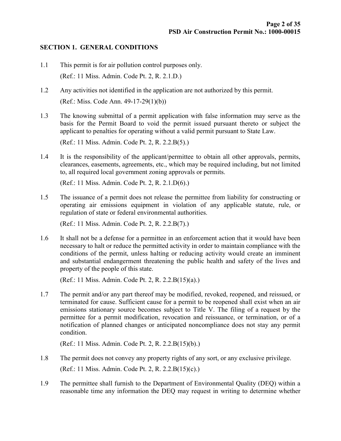#### SECTION 1. GENERAL CONDITIONS

- 1.1 This permit is for air pollution control purposes only. (Ref.: 11 Miss. Admin. Code Pt. 2, R. 2.1.D.)
- 1.2 Any activities not identified in the application are not authorized by this permit. (Ref.: Miss. Code Ann. 49-17-29(1)(b))
- 1.3 The knowing submittal of a permit application with false information may serve as the basis for the Permit Board to void the permit issued pursuant thereto or subject the applicant to penalties for operating without a valid permit pursuant to State Law.

(Ref.: 11 Miss. Admin. Code Pt. 2, R. 2.2.B(5).)

1.4 It is the responsibility of the applicant/permittee to obtain all other approvals, permits, clearances, easements, agreements, etc., which may be required including, but not limited to, all required local government zoning approvals or permits.

(Ref.: 11 Miss. Admin. Code Pt. 2, R. 2.1.D(6).)

1.5 The issuance of a permit does not release the permittee from liability for constructing or operating air emissions equipment in violation of any applicable statute, rule, or regulation of state or federal environmental authorities.

(Ref.: 11 Miss. Admin. Code Pt. 2, R. 2.2.B(7).)

1.6 It shall not be a defense for a permittee in an enforcement action that it would have been necessary to halt or reduce the permitted activity in order to maintain compliance with the conditions of the permit, unless halting or reducing activity would create an imminent and substantial endangerment threatening the public health and safety of the lives and property of the people of this state.

(Ref.: 11 Miss. Admin. Code Pt. 2, R. 2.2.B(15)(a).)

1.7 The permit and/or any part thereof may be modified, revoked, reopened, and reissued, or terminated for cause. Sufficient cause for a permit to be reopened shall exist when an air emissions stationary source becomes subject to Title V. The filing of a request by the permittee for a permit modification, revocation and reissuance, or termination, or of a notification of planned changes or anticipated noncompliance does not stay any permit condition.

(Ref.: 11 Miss. Admin. Code Pt. 2, R. 2.2.B(15)(b).)

- 1.8 The permit does not convey any property rights of any sort, or any exclusive privilege. (Ref.: 11 Miss. Admin. Code Pt. 2, R. 2.2.B(15)(c).)
- 1.9 The permittee shall furnish to the Department of Environmental Quality (DEQ) within a reasonable time any information the DEQ may request in writing to determine whether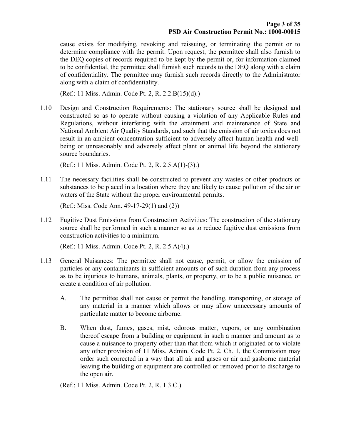cause exists for modifying, revoking and reissuing, or terminating the permit or to determine compliance with the permit. Upon request, the permittee shall also furnish to the DEQ copies of records required to be kept by the permit or, for information claimed to be confidential, the permittee shall furnish such records to the DEQ along with a claim of confidentiality. The permittee may furnish such records directly to the Administrator along with a claim of confidentiality.

(Ref.: 11 Miss. Admin. Code Pt. 2, R. 2.2.B(15)(d).)

1.10 Design and Construction Requirements: The stationary source shall be designed and constructed so as to operate without causing a violation of any Applicable Rules and Regulations, without interfering with the attainment and maintenance of State and National Ambient Air Quality Standards, and such that the emission of air toxics does not result in an ambient concentration sufficient to adversely affect human health and wellbeing or unreasonably and adversely affect plant or animal life beyond the stationary source boundaries.

(Ref.: 11 Miss. Admin. Code Pt. 2, R. 2.5.A(1)-(3).)

1.11 The necessary facilities shall be constructed to prevent any wastes or other products or substances to be placed in a location where they are likely to cause pollution of the air or waters of the State without the proper environmental permits.

(Ref.: Miss. Code Ann. 49-17-29(1) and (2))

1.12 Fugitive Dust Emissions from Construction Activities: The construction of the stationary source shall be performed in such a manner so as to reduce fugitive dust emissions from construction activities to a minimum.

(Ref.: 11 Miss. Admin. Code Pt. 2, R. 2.5.A(4).)

- 1.13 General Nuisances: The permittee shall not cause, permit, or allow the emission of particles or any contaminants in sufficient amounts or of such duration from any process as to be injurious to humans, animals, plants, or property, or to be a public nuisance, or create a condition of air pollution.
	- A. The permittee shall not cause or permit the handling, transporting, or storage of any material in a manner which allows or may allow unnecessary amounts of particulate matter to become airborne.
	- B. When dust, fumes, gases, mist, odorous matter, vapors, or any combination thereof escape from a building or equipment in such a manner and amount as to cause a nuisance to property other than that from which it originated or to violate any other provision of 11 Miss. Admin. Code Pt. 2, Ch. 1, the Commission may order such corrected in a way that all air and gases or air and gasborne material leaving the building or equipment are controlled or removed prior to discharge to the open air.

(Ref.: 11 Miss. Admin. Code Pt. 2, R. 1.3.C.)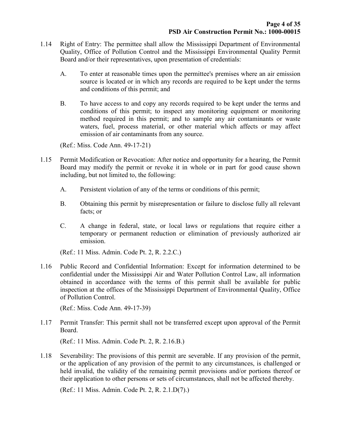- 1.14 Right of Entry: The permittee shall allow the Mississippi Department of Environmental Quality, Office of Pollution Control and the Mississippi Environmental Quality Permit Board and/or their representatives, upon presentation of credentials:
	- A. To enter at reasonable times upon the permittee's premises where an air emission source is located or in which any records are required to be kept under the terms and conditions of this permit; and
	- B. To have access to and copy any records required to be kept under the terms and conditions of this permit; to inspect any monitoring equipment or monitoring method required in this permit; and to sample any air contaminants or waste waters, fuel, process material, or other material which affects or may affect emission of air contaminants from any source.

(Ref.: Miss. Code Ann. 49-17-21)

- 1.15 Permit Modification or Revocation: After notice and opportunity for a hearing, the Permit Board may modify the permit or revoke it in whole or in part for good cause shown including, but not limited to, the following:
	- A. Persistent violation of any of the terms or conditions of this permit;
	- B. Obtaining this permit by misrepresentation or failure to disclose fully all relevant facts; or
	- C. A change in federal, state, or local laws or regulations that require either a temporary or permanent reduction or elimination of previously authorized air emission.

(Ref.: 11 Miss. Admin. Code Pt. 2, R. 2.2.C.)

1.16 Public Record and Confidential Information: Except for information determined to be confidential under the Mississippi Air and Water Pollution Control Law, all information obtained in accordance with the terms of this permit shall be available for public inspection at the offices of the Mississippi Department of Environmental Quality, Office of Pollution Control.

(Ref.: Miss. Code Ann. 49-17-39)

1.17 Permit Transfer: This permit shall not be transferred except upon approval of the Permit Board.

(Ref.: 11 Miss. Admin. Code Pt. 2, R. 2.16.B.)

1.18 Severability: The provisions of this permit are severable. If any provision of the permit, or the application of any provision of the permit to any circumstances, is challenged or held invalid, the validity of the remaining permit provisions and/or portions thereof or their application to other persons or sets of circumstances, shall not be affected thereby.

(Ref.: 11 Miss. Admin. Code Pt. 2, R. 2.1.D(7).)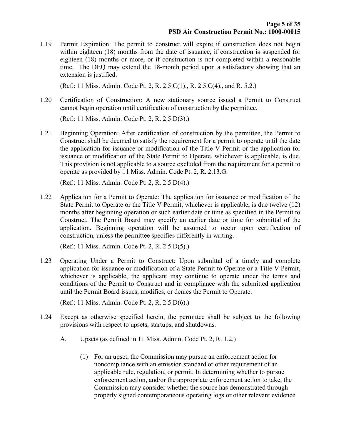1.19 Permit Expiration: The permit to construct will expire if construction does not begin within eighteen (18) months from the date of issuance, if construction is suspended for eighteen (18) months or more, or if construction is not completed within a reasonable time. The DEQ may extend the 18-month period upon a satisfactory showing that an extension is justified.

(Ref.: 11 Miss. Admin. Code Pt. 2, R. 2.5.C(1)., R. 2.5.C(4)., and R. 5.2.)

1.20 Certification of Construction: A new stationary source issued a Permit to Construct cannot begin operation until certification of construction by the permittee.

(Ref.: 11 Miss. Admin. Code Pt. 2, R. 2.5.D(3).)

1.21 Beginning Operation: After certification of construction by the permittee, the Permit to Construct shall be deemed to satisfy the requirement for a permit to operate until the date the application for issuance or modification of the Title V Permit or the application for issuance or modification of the State Permit to Operate, whichever is applicable, is due. This provision is not applicable to a source excluded from the requirement for a permit to operate as provided by 11 Miss. Admin. Code Pt. 2, R. 2.13.G.

(Ref.: 11 Miss. Admin. Code Pt. 2, R. 2.5.D(4).)

1.22 Application for a Permit to Operate: The application for issuance or modification of the State Permit to Operate or the Title V Permit, whichever is applicable, is due twelve (12) months after beginning operation or such earlier date or time as specified in the Permit to Construct. The Permit Board may specify an earlier date or time for submittal of the application. Beginning operation will be assumed to occur upon certification of construction, unless the permittee specifies differently in writing.

(Ref.: 11 Miss. Admin. Code Pt. 2, R. 2.5.D(5).)

1.23 Operating Under a Permit to Construct: Upon submittal of a timely and complete application for issuance or modification of a State Permit to Operate or a Title V Permit, whichever is applicable, the applicant may continue to operate under the terms and conditions of the Permit to Construct and in compliance with the submitted application until the Permit Board issues, modifies, or denies the Permit to Operate.

(Ref.: 11 Miss. Admin. Code Pt. 2, R. 2.5.D(6).)

- 1.24 Except as otherwise specified herein, the permittee shall be subject to the following provisions with respect to upsets, startups, and shutdowns.
	- A. Upsets (as defined in 11 Miss. Admin. Code Pt. 2, R. 1.2.)
		- (1) For an upset, the Commission may pursue an enforcement action for noncompliance with an emission standard or other requirement of an applicable rule, regulation, or permit. In determining whether to pursue enforcement action, and/or the appropriate enforcement action to take, the Commission may consider whether the source has demonstrated through properly signed contemporaneous operating logs or other relevant evidence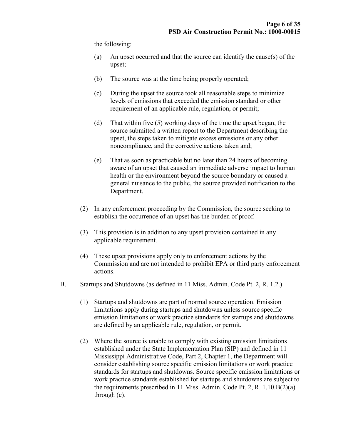the following:

- (a) An upset occurred and that the source can identify the cause(s) of the upset;
- (b) The source was at the time being properly operated;
- (c) During the upset the source took all reasonable steps to minimize levels of emissions that exceeded the emission standard or other requirement of an applicable rule, regulation, or permit;
- (d) That within five (5) working days of the time the upset began, the source submitted a written report to the Department describing the upset, the steps taken to mitigate excess emissions or any other noncompliance, and the corrective actions taken and;
- (e) That as soon as practicable but no later than 24 hours of becoming aware of an upset that caused an immediate adverse impact to human health or the environment beyond the source boundary or caused a general nuisance to the public, the source provided notification to the Department.
- (2) In any enforcement proceeding by the Commission, the source seeking to establish the occurrence of an upset has the burden of proof.
- (3) This provision is in addition to any upset provision contained in any applicable requirement.
- (4) These upset provisions apply only to enforcement actions by the Commission and are not intended to prohibit EPA or third party enforcement actions.
- B. Startups and Shutdowns (as defined in 11 Miss. Admin. Code Pt. 2, R. 1.2.)
	- (1) Startups and shutdowns are part of normal source operation. Emission limitations apply during startups and shutdowns unless source specific emission limitations or work practice standards for startups and shutdowns are defined by an applicable rule, regulation, or permit.
	- (2) Where the source is unable to comply with existing emission limitations established under the State Implementation Plan (SIP) and defined in 11 Mississippi Administrative Code, Part 2, Chapter 1, the Department will consider establishing source specific emission limitations or work practice standards for startups and shutdowns. Source specific emission limitations or work practice standards established for startups and shutdowns are subject to the requirements prescribed in 11 Miss. Admin. Code Pt. 2, R. 1.10.B(2)(a) through (e).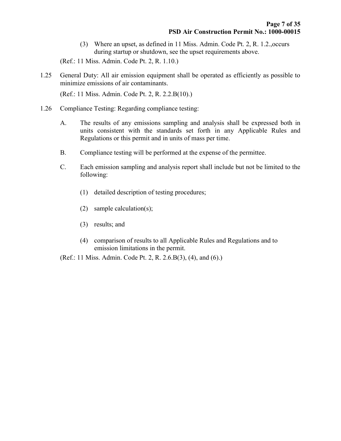(3) Where an upset, as defined in 11 Miss. Admin. Code Pt. 2, R. 1.2.,occurs during startup or shutdown, see the upset requirements above.

(Ref.: 11 Miss. Admin. Code Pt. 2, R. 1.10.)

1.25 General Duty: All air emission equipment shall be operated as efficiently as possible to minimize emissions of air contaminants.

(Ref.: 11 Miss. Admin. Code Pt. 2, R. 2.2.B(10).)

- 1.26 Compliance Testing: Regarding compliance testing:
	- A. The results of any emissions sampling and analysis shall be expressed both in units consistent with the standards set forth in any Applicable Rules and Regulations or this permit and in units of mass per time.
	- B. Compliance testing will be performed at the expense of the permittee.
	- C. Each emission sampling and analysis report shall include but not be limited to the following:
		- (1) detailed description of testing procedures;
		- (2) sample calculation(s);
		- (3) results; and
		- (4) comparison of results to all Applicable Rules and Regulations and to emission limitations in the permit.

(Ref.: 11 Miss. Admin. Code Pt. 2, R. 2.6.B(3), (4), and (6).)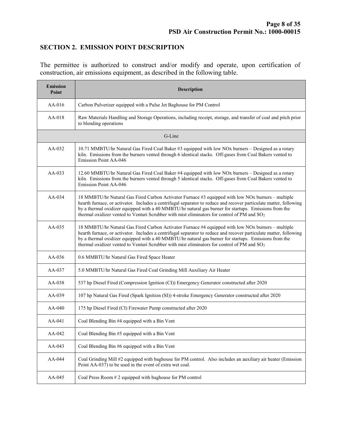### SECTION 2. EMISSION POINT DESCRIPTION

The permittee is authorized to construct and/or modify and operate, upon certification of construction, air emissions equipment, as described in the following table.

| <b>Emission</b><br>Point | <b>Description</b>                                                                                                                                                                                                                                                                                                                                                                                                                 |  |  |  |
|--------------------------|------------------------------------------------------------------------------------------------------------------------------------------------------------------------------------------------------------------------------------------------------------------------------------------------------------------------------------------------------------------------------------------------------------------------------------|--|--|--|
| $AA-016$                 | Carbon Pulverizer equipped with a Pulse Jet Baghouse for PM Control                                                                                                                                                                                                                                                                                                                                                                |  |  |  |
| $AA-018$                 | Raw Materials Handling and Storage Operations, including receipt, storage, and transfer of coal and pitch prior<br>to blending operations                                                                                                                                                                                                                                                                                          |  |  |  |
|                          | G-Line                                                                                                                                                                                                                                                                                                                                                                                                                             |  |  |  |
| $AA-032$                 | 10.71 MMBTU/hr Natural Gas Fired Coal Baker #3 equipped with low NOx burners - Designed as a rotary<br>kiln. Emissions from the burners vented through 6 identical stacks. Off-gases from Coal Bakers vented to<br>Emission Point AA-046                                                                                                                                                                                           |  |  |  |
| $AA-033$                 | 12.60 MMBTU/hr Natural Gas Fired Coal Baker #4 equipped with low NOx burners - Designed as a rotary<br>kiln. Emissions from the burners vented through 5 identical stacks. Off-gases from Coal Bakers vented to<br><b>Emission Point AA-046</b>                                                                                                                                                                                    |  |  |  |
| $AA-0.34$                | 18 MMBTU/hr Natural Gas Fired Carbon Activator Furnace #3 equipped with low NOx burners - multiple<br>hearth furnace, or activator. Includes a centrifugal separator to reduce and recover particulate matter, following<br>by a thermal oxidizer equipped with a 40 MMBTU/hr natural gas burner for startups. Emissions from the<br>thermal oxidizer vented to Venturi Scrubber with mist eliminators for control of PM and $SO2$ |  |  |  |
| $AA-035$                 | 18 MMBTU/hr Natural Gas Fired Carbon Activator Furnace #4 equipped with low NOx burners - multiple<br>hearth furnace, or activator. Includes a centrifugal separator to reduce and recover particulate matter, following<br>by a thermal oxidizer equipped with a 40 MMBTU/hr natural gas burner for startups. Emissions from the<br>thermal oxidizer vented to Venturi Scrubber with mist eliminators for control of PM and $SO2$ |  |  |  |
| $AA-036$                 | 0.6 MMBTU/hr Natural Gas Fired Space Heater                                                                                                                                                                                                                                                                                                                                                                                        |  |  |  |
| AA-037                   | 5.0 MMBTU/hr Natural Gas Fired Coal Grinding Mill Auxiliary Air Heater                                                                                                                                                                                                                                                                                                                                                             |  |  |  |
| $AA-038$                 | 537 hp Diesel Fired (Compression Ignition (CI)) Emergency Generator constructed after 2020                                                                                                                                                                                                                                                                                                                                         |  |  |  |
| $AA-039$                 | 107 hp Natural Gas Fired (Spark Ignition (SI)) 4-stroke Emergency Generator constructed after 2020                                                                                                                                                                                                                                                                                                                                 |  |  |  |
| $AA-040$                 | 175 hp Diesel Fired (CI) Firewater Pump constructed after 2020                                                                                                                                                                                                                                                                                                                                                                     |  |  |  |
| $AA-041$                 | Coal Blending Bin #4 equipped with a Bin Vent                                                                                                                                                                                                                                                                                                                                                                                      |  |  |  |
| AA-042                   | Coal Blending Bin #5 equipped with a Bin Vent                                                                                                                                                                                                                                                                                                                                                                                      |  |  |  |
| AA-043                   | Coal Blending Bin #6 equipped with a Bin Vent                                                                                                                                                                                                                                                                                                                                                                                      |  |  |  |
| AA-044                   | Coal Grinding Mill #2 equipped with baghouse for PM control. Also includes an auxiliary air heater (Emission<br>Point AA-037) to be used in the event of extra wet coal.                                                                                                                                                                                                                                                           |  |  |  |
| AA-045                   | Coal Press Room # 2 equipped with baghouse for PM control                                                                                                                                                                                                                                                                                                                                                                          |  |  |  |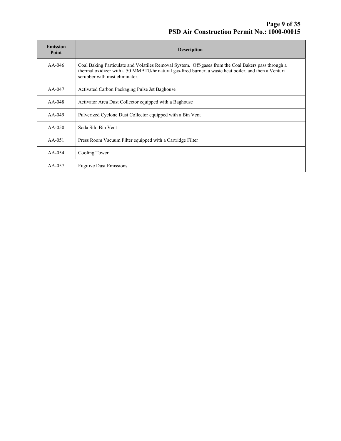| <b>Emission</b><br>Point | <b>Description</b>                                                                                                                                                                                                                             |
|--------------------------|------------------------------------------------------------------------------------------------------------------------------------------------------------------------------------------------------------------------------------------------|
| $AA-046$                 | Coal Baking Particulate and Volatiles Removal System. Off-gases from the Coal Bakers pass through a<br>thermal oxidizer with a 50 MMBTU/hr natural gas-fired burner, a waste heat boiler, and then a Venturi<br>scrubber with mist eliminator. |
| AA-047                   | Activated Carbon Packaging Pulse Jet Baghouse                                                                                                                                                                                                  |
| $AA-048$                 | Activator Area Dust Collector equipped with a Baghouse                                                                                                                                                                                         |
| $AA-049$                 | Pulverized Cyclone Dust Collector equipped with a Bin Vent                                                                                                                                                                                     |
| $AA-050$                 | Soda Silo Bin Vent                                                                                                                                                                                                                             |
| $AA-051$                 | Press Room Vacuum Filter equipped with a Cartridge Filter                                                                                                                                                                                      |
| $AA-054$                 | Cooling Tower                                                                                                                                                                                                                                  |
| $AA-057$                 | <b>Fugitive Dust Emissions</b>                                                                                                                                                                                                                 |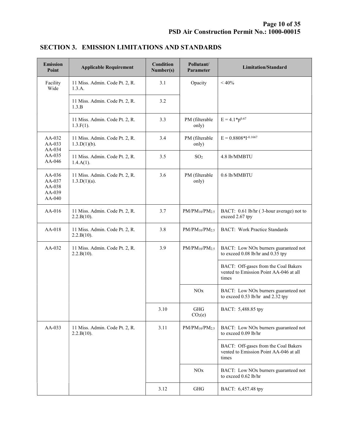| <b>Emission</b><br>Point                         | <b>Applicable Requirement</b>                     | <b>Condition</b><br>Number(s) | Pollutant/<br>Parameter    | <b>Limitation/Standard</b>                                                              |
|--------------------------------------------------|---------------------------------------------------|-------------------------------|----------------------------|-----------------------------------------------------------------------------------------|
| Facility<br>Wide                                 | 11 Miss. Admin. Code Pt. 2, R.<br>1.3.A.          | 3.1                           | Opacity                    | $< 40\%$                                                                                |
|                                                  | 11 Miss. Admin. Code Pt. 2, R.<br>1.3.B           | 3.2                           |                            |                                                                                         |
|                                                  | 11 Miss. Admin. Code Pt. 2, R.<br>$1.3.F(1)$ .    | 3.3                           | PM (filterable<br>only)    | $E = 4.1 * p^{0.67}$                                                                    |
| AA-032<br>AA-033<br>AA-034                       | 11 Miss. Admin. Code Pt. 2, R.<br>$1.3.D(1)(b)$ . | 3.4                           | PM (filterable<br>only)    | $E = 0.8808*I^{-0.1667}$                                                                |
| $AA-035$<br>AA-046                               | 11 Miss. Admin. Code Pt. 2, R.<br>$1.4.A(1)$ .    | 3.5                           | SO <sub>2</sub>            | 4.8 lb/MMBTU                                                                            |
| $AA-036$<br>AA-037<br>AA-038<br>AA-039<br>AA-040 | 11 Miss. Admin. Code Pt. 2, R.<br>$1.3.D(1)(a)$ . | 3.6                           | PM (filterable<br>only)    | 0.6 lb/MMBTU                                                                            |
| AA-016                                           | 11 Miss. Admin. Code Pt. 2, R.<br>2.2.B(10).      | 3.7                           | $PM/PM_{10}/PM_{2.5}$      | BACT: 0.61 lb/hr (3-hour average) not to<br>exceed 2.67 tpy                             |
| AA-018                                           | 11 Miss. Admin. Code Pt. 2, R.<br>2.2.B(10).      | 3.8                           | $PM/PM_{10}/PM_{2.5}$      | <b>BACT: Work Practice Standards</b>                                                    |
| $AA-032$                                         | 11 Miss. Admin. Code Pt. 2, R.<br>2.2.B(10).      | 3.9                           | $PM/PM_{10}/PM_{2.5}$      | BACT: Low NOx burners guaranteed not<br>to exceed 0.08 lb/hr and 0.35 tpy               |
|                                                  |                                                   |                               |                            | BACT: Off-gases from the Coal Bakers<br>vented to Emission Point AA-046 at all<br>times |
|                                                  |                                                   |                               | <b>NO<sub>x</sub></b>      | BACT: Low NOx burners guaranteed not<br>to exceed 0.53 lb/hr and 2.32 tpy               |
|                                                  |                                                   | 3.10                          | GHG<br>CO <sub>2</sub> (e) | BACT: 5,488.85 tpy                                                                      |
| AA-033                                           | 11 Miss. Admin. Code Pt. 2, R.<br>2.2.B(10).      | 3.11                          | $PM/PM_{10}/PM_{2.5}$      | BACT: Low NOx burners guaranteed not<br>to exceed 0.09 lb/hr                            |
|                                                  |                                                   |                               |                            | BACT: Off-gases from the Coal Bakers<br>vented to Emission Point AA-046 at all<br>times |
|                                                  |                                                   |                               | <b>NOx</b>                 | BACT: Low NOx burners guaranteed not<br>to exceed 0.62 lb/hr                            |
|                                                  |                                                   | 3.12                          | GHG                        | BACT: 6,457.48 tpy                                                                      |

## SECTION 3. EMISSION LIMITATIONS AND STANDARDS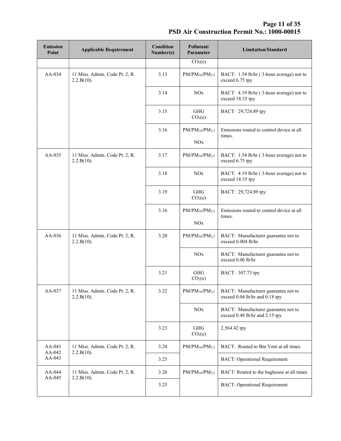Page 11 of 35 PSD Air Construction Permit No.: 1000-00015

| <b>Emission</b><br>Point | <b>Applicable Requirement</b>                | Condition<br>Number(s) | Pollutant/<br>Parameter           | <b>Limitation/Standard</b>                                            |
|--------------------------|----------------------------------------------|------------------------|-----------------------------------|-----------------------------------------------------------------------|
|                          |                                              |                        | CO <sub>2</sub> (e)               |                                                                       |
| AA-034                   | 11 Miss. Admin. Code Pt. 2, R.<br>2.2.B(10). | 3.13                   | $PM/PM_{10}/PM_{2.5}$             | BACT: 1.54 lb/hr (3-hour average) not to<br>exceed 6.75 tpy           |
|                          |                                              | 3.14                   | <b>NO</b> x                       | BACT: 4.19 lb/hr (3-hour average) not to<br>exceed 18.35 tpy          |
|                          |                                              | 3.15                   | <b>GHG</b><br>CO <sub>2</sub> (e) | BACT: 29,724.89 tpy                                                   |
|                          |                                              | 3.16                   | $PM/PM_{10}/PM_{2.5}$             | Emissions routed to control device at all<br>times.                   |
|                          |                                              |                        | NOx                               |                                                                       |
| AA-035                   | 11 Miss. Admin. Code Pt. 2, R.<br>2.2.B(10). | 3.17                   | $PM/PM_{10}/PM_{2.5}$             | BACT: 1.54 lb/hr (3-hour average) not to<br>exceed 6.75 tpy           |
|                          |                                              | 3.18                   | <b>NO</b> x                       | BACT: 4.19 lb/hr (3-hour average) not to<br>exceed 18.35 tpy          |
|                          |                                              | 3.19                   | <b>GHG</b><br>CO <sub>2</sub> (e) | BACT: 29,724.89 tpy                                                   |
|                          |                                              | 3.16                   | $PM/PM_{10}/PM_{2.5}$             | Emissions routed to control device at all<br>times.                   |
|                          |                                              |                        | NOx                               |                                                                       |
| AA-036                   | 11 Miss. Admin. Code Pt. 2, R.<br>2.2.B(10). | 3.20                   | $PM/PM_{10}/PM_{2.5}$             | BACT: Manufacturer guarantee not to<br>exceed 0.004 lb/hr             |
|                          |                                              |                        | <b>NO<sub>x</sub></b>             | BACT: Manufacturer guarantee not to<br>exceed 0.06 lb/hr              |
|                          |                                              | 3.21                   | <b>GHG</b><br>CO <sub>2</sub> (e) | BACT: 307.73 tpy                                                      |
| AA-037                   | 11 Miss. Admin. Code Pt. 2, R.<br>2.2.B(10). | 3.22                   | $PM/PM_{10}/PM_{2.5}$             | BACT: Manufacturer guarantee not to<br>exceed 0.04 lb/hr and 0.18 tpy |
|                          |                                              |                        | NOx                               | BACT: Manufacturer guarantee not to<br>exceed 0.49 lb/hr and 2.15 tpy |
|                          |                                              | 3.23                   | <b>GHG</b><br>CO <sub>2</sub> (e) | 2,564.42 tpy                                                          |
| $AA-041$                 | 11 Miss. Admin. Code Pt. 2, R.               | 3.24                   | $PM/PM_{10}/PM_{2.5}$             | BACT: Routed to Bin Vent at all times                                 |
| AA-042<br>AA-043         | 2.2.B(10).                                   | 3.25                   |                                   | <b>BACT: Operational Requirement</b>                                  |
| AA-044                   | 11 Miss. Admin. Code Pt. 2, R.               | 3.26                   | $PM/PM_{10}/PM_{2.5}$             | BACT: Routed to the baghouse at all times                             |
| AA-045                   | 2.2.B(10).                                   | 3.25                   |                                   | <b>BACT: Operational Requirement</b>                                  |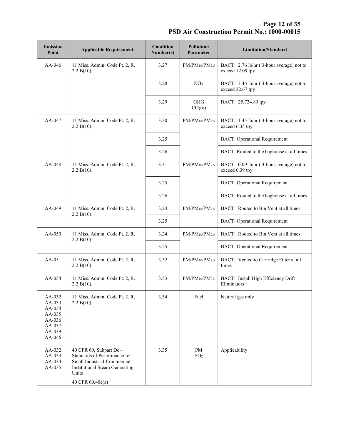Page 12 of 35 PSD Air Construction Permit No.: 1000-00015

| <b>Emission</b><br>Point                                                     | <b>Applicable Requirement</b>                                                                                                                                 | <b>Condition</b><br>Number(s) | Pollutant/<br>Parameter           | <b>Limitation/Standard</b>                                   |
|------------------------------------------------------------------------------|---------------------------------------------------------------------------------------------------------------------------------------------------------------|-------------------------------|-----------------------------------|--------------------------------------------------------------|
| AA-046                                                                       | 11 Miss. Admin. Code Pt. 2, R.<br>2.2.B(10).                                                                                                                  | 3.27                          | $PM/PM_{10}/PM_{2.5}$             | BACT: 2.76 lb/hr (3-hour average) not to<br>exceed 12.09 tpy |
|                                                                              |                                                                                                                                                               | 3.28                          | NOx                               | BACT: 7.46 lb/hr (3-hour average) not to<br>exceed 32.67 tpy |
|                                                                              |                                                                                                                                                               | 3.29                          | <b>GHG</b><br>CO <sub>2</sub> (e) | BACT: 25,724.89 tpy                                          |
| AA-047                                                                       | 11 Miss. Admin. Code Pt. 2, R.<br>2.2.B(10).                                                                                                                  | 3.30                          | $PM/PM_{10}/PM_{2.5}$             | BACT: 1.45 lb/hr (3-hour average) not to<br>exceed 6.35 tpy  |
|                                                                              |                                                                                                                                                               | 3.25                          |                                   | <b>BACT: Operational Requirement</b>                         |
|                                                                              |                                                                                                                                                               | 3.26                          |                                   | BACT: Routed to the baghouse at all times                    |
| AA-048                                                                       | 11 Miss. Admin. Code Pt. 2, R.<br>2.2.B(10).                                                                                                                  | 3.31                          | $PM/PM_{10}/PM_{2.5}$             | BACT: 0.09 lb/hr (3-hour average) not to<br>exceed 0.39 tpy  |
|                                                                              |                                                                                                                                                               | 3.25                          |                                   | <b>BACT: Operational Requirement</b>                         |
|                                                                              |                                                                                                                                                               | 3.26                          |                                   | BACT: Routed to the baghouse at all times                    |
| AA-049                                                                       | 11 Miss. Admin. Code Pt. 2, R.<br>2.2.B(10).                                                                                                                  | 3.24                          | $PM/PM_{10}/PM_{2.5}$             | BACT: Routed to Bin Vent at all times                        |
|                                                                              |                                                                                                                                                               | 3.25                          |                                   | <b>BACT: Operational Requirement</b>                         |
| $AA-050$                                                                     | 11 Miss. Admin. Code Pt. 2, R.<br>2.2.B(10).                                                                                                                  | 3.24                          | $PM/PM_{10}/PM_{2.5}$             | BACT: Routed to Bin Vent at all times                        |
|                                                                              |                                                                                                                                                               | 3.25                          |                                   | <b>BACT: Operational Requirement</b>                         |
| $AA-051$                                                                     | 11 Miss. Admin. Code Pt. 2, R.<br>2.2.B(10).                                                                                                                  | 3.32                          | $PM/PM_{10}/PM_{2.5}$             | BACT: Vented to Cartridge Filter at all<br>times             |
| AA-054                                                                       | 11 Miss. Admin. Code Pt. 2, R.<br>2.2.B(10).                                                                                                                  | 3.33                          | $PM/PM_{10}/PM_{2.5}$             | BACT: Install High Efficiency Drift<br>Eliminators           |
| AA-032<br>AA-033<br>AA-034<br>AA-035<br>AA-036<br>AA-037<br>AA-039<br>AA-046 | 11 Miss. Admin. Code Pt. 2, R.<br>2.2.B(10).                                                                                                                  | 3.34                          | Fuel                              | Natural gas only                                             |
| AA-032<br>AA-033<br>AA-034<br>AA-035                                         | 40 CFR 60, Subpart Dc -<br>Standards of Performance for<br>Small Industrial-Commercial-<br><b>Institutional Steam Generating</b><br>Units<br>40 CFR 60.40c(a) | 3.35                          | PM<br>SO <sub>2</sub>             | Applicability                                                |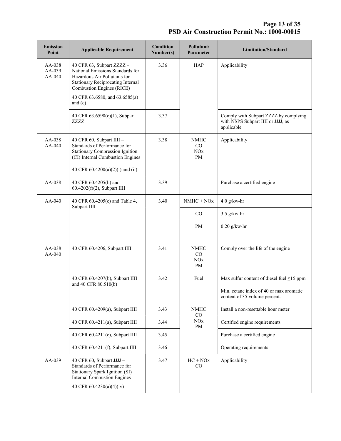**Page 13 of 35** PSD Air Construction Permit No.: 1000-00015

| <b>Emission</b><br>Point     | <b>Applicable Requirement</b>                                                                                                                                                                                         | <b>Condition</b><br>Number(s) | Pollutant/<br>Parameter               | <b>Limitation/Standard</b>                                                                                                  |
|------------------------------|-----------------------------------------------------------------------------------------------------------------------------------------------------------------------------------------------------------------------|-------------------------------|---------------------------------------|-----------------------------------------------------------------------------------------------------------------------------|
| AA-038<br>AA-039<br>$AA-040$ | 40 CFR 63, Subpart ZZZZ -<br>National Emissions Standards for<br>Hazardous Air Pollutants for<br><b>Stationary Reciprocating Internal</b><br>Combustion Engines (RICE)<br>40 CFR 63.6580, and 63.6585(a)<br>and $(c)$ | 3.36                          | HAP                                   | Applicability                                                                                                               |
|                              | 40 CFR 63.6590(c)(1), Subpart<br>ZZZZ                                                                                                                                                                                 | 3.37                          |                                       | Comply with Subpart ZZZZ by complying<br>with NSPS Subpart IIII or JJJJ, as<br>applicable                                   |
| AA-038<br>$AA-040$           | 40 CFR 60, Subpart IIII -<br>Standards of Performance for<br><b>Stationary Compression Ignition</b><br>(CI) Internal Combustion Engines<br>40 CFR 60.4200(a)(2)(i) and (ii)                                           | 3.38                          | <b>NMHC</b><br>CO<br>NOx<br><b>PM</b> | Applicability                                                                                                               |
| AA-038                       | 40 CFR 60.4205(b) and<br>60.4202(f)(2), Subpart IIII                                                                                                                                                                  | 3.39                          |                                       | Purchase a certified engine                                                                                                 |
| $AA-040$                     | 40 CFR 60.4205(c) and Table 4,<br>Subpart IIII                                                                                                                                                                        | 3.40                          | $NMHC + NOx$                          | $4.0$ g/kw-hr                                                                                                               |
|                              |                                                                                                                                                                                                                       |                               | CO                                    | $3.5$ g/kw-hr                                                                                                               |
|                              |                                                                                                                                                                                                                       |                               | PM                                    | $0.20$ g/kw-hr                                                                                                              |
| AA-038<br>AA-040             | 40 CFR 60.4206, Subpart IIII                                                                                                                                                                                          | 3.41                          | <b>NMHC</b><br>CO<br>NOx<br>PM        | Comply over the life of the engine                                                                                          |
|                              | 40 CFR 60.4207(b), Subpart IIII<br>and 40 CFR 80.510(b)                                                                                                                                                               | 3.42                          | Fuel                                  | Max sulfur content of diesel fuel $\leq$ 15 ppm<br>Min. cetane index of 40 or max aromatic<br>content of 35 volume percent. |
|                              | 40 CFR 60.4209(a), Subpart IIII                                                                                                                                                                                       | 3.43                          | <b>NMHC</b><br>$\rm CO$               | Install a non-resettable hour meter                                                                                         |
|                              | 40 CFR 60.4211(a), Subpart IIII                                                                                                                                                                                       | 3.44                          | <b>NO</b> x<br>PM                     | Certified engine requirements                                                                                               |
|                              | 40 CFR 60.4211(c), Subpart IIII                                                                                                                                                                                       | 3.45                          |                                       | Purchase a certified engine                                                                                                 |
|                              | 40 CFR 60.4211(f), Subpart IIII                                                                                                                                                                                       | 3.46                          |                                       | Operating requirements                                                                                                      |
| AA-039                       | 40 CFR 60, Subpart JJJJ -<br>Standards of Performance for<br>Stationary Spark Ignition (SI)<br><b>Internal Combustion Engines</b><br>40 CFR 60.4230(a)(4)(iv)                                                         | 3.47                          | $HC + NOX$<br>CO                      | Applicability                                                                                                               |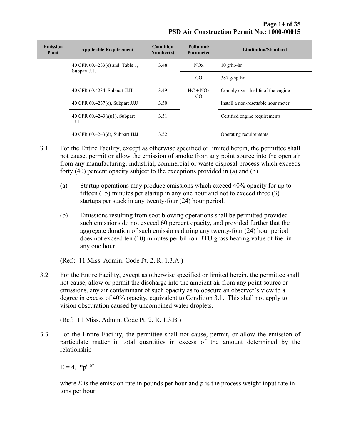Page 14 of 35 PSD Air Construction Permit No.: 1000-00015

| <b>Emission</b><br>Point | <b>Applicable Requirement</b>                    | <b>Condition</b><br>Number(s) | Pollutant/<br><b>Parameter</b> | Limitation/Standard                 |
|--------------------------|--------------------------------------------------|-------------------------------|--------------------------------|-------------------------------------|
|                          | 40 CFR $60.4233(e)$ and Table 1,<br>Subpart JJJJ | 3.48                          | NOx                            | $10$ g/hp-hr                        |
|                          |                                                  |                               | $_{\rm CO}$                    | $387$ g/hp-hr                       |
|                          | 40 CFR 60.4234, Subpart JJJJ                     | 3.49                          | $HC + NOx$<br>$\rm CO$         | Comply over the life of the engine  |
|                          | 40 CFR 60.4237(c), Subpart JJJJ                  | 3.50                          |                                | Install a non-resettable hour meter |
|                          | 40 CFR $60.4243(a)(1)$ , Subpart<br><b>JJJJ</b>  | 3.51                          |                                | Certified engine requirements       |
|                          | 40 CFR 60.4243(d), Subpart JJJJ                  | 3.52                          |                                | Operating requirements              |

- 3.1 For the Entire Facility, except as otherwise specified or limited herein, the permittee shall not cause, permit or allow the emission of smoke from any point source into the open air from any manufacturing, industrial, commercial or waste disposal process which exceeds forty (40) percent opacity subject to the exceptions provided in (a) and (b)
	- (a) Startup operations may produce emissions which exceed 40% opacity for up to fifteen  $(15)$  minutes per startup in any one hour and not to exceed three  $(3)$ startups per stack in any twenty-four (24) hour period.
	- (b) Emissions resulting from soot blowing operations shall be permitted provided such emissions do not exceed 60 percent opacity, and provided further that the aggregate duration of such emissions during any twenty-four (24) hour period does not exceed ten (10) minutes per billion BTU gross heating value of fuel in any one hour.

(Ref.: 11 Miss. Admin. Code Pt. 2, R. 1.3.A.)

3.2 For the Entire Facility, except as otherwise specified or limited herein, the permittee shall not cause, allow or permit the discharge into the ambient air from any point source or emissions, any air contaminant of such opacity as to obscure an observer's view to a degree in excess of 40% opacity, equivalent to Condition 3.1. This shall not apply to vision obscuration caused by uncombined water droplets.

(Ref: 11 Miss. Admin. Code Pt. 2, R. 1.3.B.)

3.3 For the Entire Facility, the permittee shall not cause, permit, or allow the emission of particulate matter in total quantities in excess of the amount determined by the relationship

 $E = 4.1 * p^{0.67}$ 

where  $E$  is the emission rate in pounds per hour and  $p$  is the process weight input rate in tons per hour.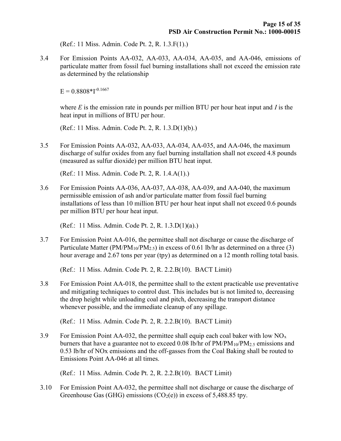(Ref.: 11 Miss. Admin. Code Pt. 2, R. 1.3.F(1).)

3.4 For Emission Points AA-032, AA-033, AA-034, AA-035, and AA-046, emissions of particulate matter from fossil fuel burning installations shall not exceed the emission rate as determined by the relationship

 $E = 0.8808*1*0.1667$ 

where  $E$  is the emission rate in pounds per million BTU per hour heat input and  $I$  is the heat input in millions of BTU per hour.

(Ref.: 11 Miss. Admin. Code Pt. 2, R. 1.3.D(1)(b).)

3.5 For Emission Points AA-032, AA-033, AA-034, AA-035, and AA-046, the maximum discharge of sulfur oxides from any fuel burning installation shall not exceed 4.8 pounds (measured as sulfur dioxide) per million BTU heat input.

(Ref.: 11 Miss. Admin. Code Pt. 2, R. 1.4.A(1).)

3.6 For Emission Points AA-036, AA-037, AA-038, AA-039, and AA-040, the maximum permissible emission of ash and/or particulate matter from fossil fuel burning installations of less than 10 million BTU per hour heat input shall not exceed 0.6 pounds per million BTU per hour heat input.

(Ref.: 11 Miss. Admin. Code Pt. 2, R. 1.3.D(1)(a).)

3.7 For Emission Point AA-016, the permittee shall not discharge or cause the discharge of Particulate Matter (PM/PM<sub>10</sub>/PM<sub>2.5</sub>) in excess of 0.61 lb/hr as determined on a three (3) hour average and 2.67 tons per year (tpy) as determined on a 12 month rolling total basis.

(Ref.: 11 Miss. Admin. Code Pt. 2, R. 2.2.B(10). BACT Limit)

3.8 For Emission Point AA-018, the permittee shall to the extent practicable use preventative and mitigating techniques to control dust. This includes but is not limited to, decreasing the drop height while unloading coal and pitch, decreasing the transport distance whenever possible, and the immediate cleanup of any spillage.

(Ref.: 11 Miss. Admin. Code Pt. 2, R. 2.2.B(10). BACT Limit)

3.9 For Emission Point AA-032, the permittee shall equip each coal baker with low  $NO<sub>x</sub>$ burners that have a guarantee not to exceed 0.08 lb/hr of  $PM/PM_{10}/PM_{2.5}$  emissions and 0.53 lb/hr of NOx emissions and the off-gasses from the Coal Baking shall be routed to Emissions Point AA-046 at all times.

(Ref.: 11 Miss. Admin. Code Pt. 2, R. 2.2.B(10). BACT Limit)

3.10 For Emission Point AA-032, the permittee shall not discharge or cause the discharge of Greenhouse Gas (GHG) emissions (CO<sub>2</sub>(e)) in excess of 5,488.85 tpy.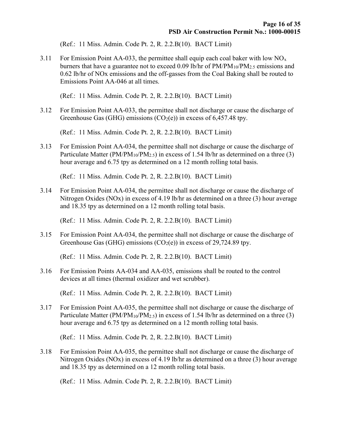(Ref.: 11 Miss. Admin. Code Pt. 2, R. 2.2.B(10). BACT Limit)

3.11 For Emission Point AA-033, the permittee shall equip each coal baker with low  $NO<sub>x</sub>$ burners that have a guarantee not to exceed 0.09 lb/hr of  $PM/PM_{10}/PM_{2.5}$  emissions and 0.62 lb/hr of NOx emissions and the off-gasses from the Coal Baking shall be routed to Emissions Point AA-046 at all times.

(Ref.: 11 Miss. Admin. Code Pt. 2, R. 2.2.B(10). BACT Limit)

3.12 For Emission Point AA-033, the permittee shall not discharge or cause the discharge of Greenhouse Gas (GHG) emissions (CO<sub>2</sub>(e)) in excess of 6,457.48 tpy.

(Ref.: 11 Miss. Admin. Code Pt. 2, R. 2.2.B(10). BACT Limit)

3.13 For Emission Point AA-034, the permittee shall not discharge or cause the discharge of Particulate Matter (PM/PM<sub>10</sub>/PM<sub>2.5</sub>) in excess of 1.54 lb/hr as determined on a three (3) hour average and 6.75 tpy as determined on a 12 month rolling total basis.

(Ref.: 11 Miss. Admin. Code Pt. 2, R. 2.2.B(10). BACT Limit)

3.14 For Emission Point AA-034, the permittee shall not discharge or cause the discharge of Nitrogen Oxides (NOx) in excess of 4.19 lb/hr as determined on a three (3) hour average and 18.35 tpy as determined on a 12 month rolling total basis.

(Ref.: 11 Miss. Admin. Code Pt. 2, R. 2.2.B(10). BACT Limit)

3.15 For Emission Point AA-034, the permittee shall not discharge or cause the discharge of Greenhouse Gas (GHG) emissions (CO<sub>2</sub>(e)) in excess of 29,724.89 tpy.

(Ref.: 11 Miss. Admin. Code Pt. 2, R. 2.2.B(10). BACT Limit)

3.16 For Emission Points AA-034 and AA-035, emissions shall be routed to the control devices at all times (thermal oxidizer and wet scrubber).

(Ref.: 11 Miss. Admin. Code Pt. 2, R. 2.2.B(10). BACT Limit)

3.17 For Emission Point AA-035, the permittee shall not discharge or cause the discharge of Particulate Matter (PM/PM<sub>10</sub>/PM<sub>2.5</sub>) in excess of 1.54 lb/hr as determined on a three (3) hour average and 6.75 tpy as determined on a 12 month rolling total basis.

(Ref.: 11 Miss. Admin. Code Pt. 2, R. 2.2.B(10). BACT Limit)

3.18 For Emission Point AA-035, the permittee shall not discharge or cause the discharge of Nitrogen Oxides (NOx) in excess of 4.19 lb/hr as determined on a three (3) hour average and 18.35 tpy as determined on a 12 month rolling total basis.

(Ref.: 11 Miss. Admin. Code Pt. 2, R. 2.2.B(10). BACT Limit)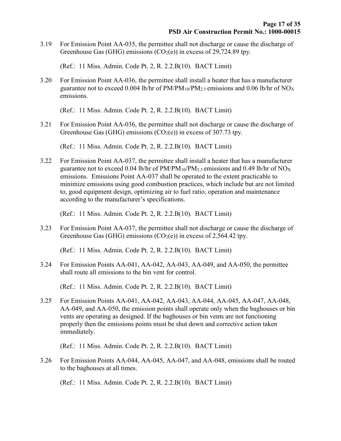3.19 For Emission Point AA-035, the permittee shall not discharge or cause the discharge of Greenhouse Gas (GHG) emissions (CO<sub>2</sub>(e)) in excess of 29,724.89 tpy.

(Ref.: 11 Miss. Admin. Code Pt. 2, R. 2.2.B(10). BACT Limit)

3.20 For Emission Point AA-036, the permittee shall install a heater that has a manufacturer guarantee not to exceed 0.004 lb/hr of  $PM/PM_{10}/PM_{2.5}$  emissions and 0.06 lb/hr of NO<sub>X</sub> emissions.

(Ref.: 11 Miss. Admin. Code Pt. 2, R. 2.2.B(10). BACT Limit)

3.21 For Emission Point AA-036, the permittee shall not discharge or cause the discharge of Greenhouse Gas (GHG) emissions (CO<sub>2</sub>(e)) in excess of 307.73 tpy.

(Ref.: 11 Miss. Admin. Code Pt. 2, R. 2.2.B(10). BACT Limit)

3.22 For Emission Point AA-037, the permittee shall install a heater that has a manufacturer guarantee not to exceed 0.04 lb/hr of  $PM/PM_{10}/PM_{2.5}$  emissions and 0.49 lb/hr of NO<sub>X</sub> emissions. Emissions Point AA-037 shall be operated to the extent practicable to minimize emissions using good combustion practices, which include but are not limited to, good equipment design, optimizing air to fuel ratio, operation and maintenance according to the manufacturer's specifications.

(Ref.: 11 Miss. Admin. Code Pt. 2, R. 2.2.B(10). BACT Limit)

3.23 For Emission Point AA-037, the permittee shall not discharge or cause the discharge of Greenhouse Gas (GHG) emissions (CO<sub>2</sub>(e)) in excess of 2,564.42 tpy.

(Ref.: 11 Miss. Admin. Code Pt. 2, R. 2.2.B(10). BACT Limit)

3.24 For Emission Points AA-041, AA-042, AA-043, AA-049, and AA-050, the permittee shall route all emissions to the bin vent for control.

(Ref.: 11 Miss. Admin. Code Pt. 2, R. 2.2.B(10). BACT Limit)

3.25 For Emission Points AA-041, AA-042, AA-043, AA-044, AA-045, AA-047, AA-048, AA-049, and AA-050, the emission points shall operate only when the baghouses or bin vents are operating as designed. If the baghouses or bin vents are not functioning properly then the emissions points must be shut down and corrective action taken immediately.

(Ref.: 11 Miss. Admin. Code Pt. 2, R. 2.2.B(10). BACT Limit)

3.26 For Emission Points AA-044, AA-045, AA-047, and AA-048, emissions shall be routed to the baghouses at all times.

(Ref.: 11 Miss. Admin. Code Pt. 2, R. 2.2.B(10). BACT Limit)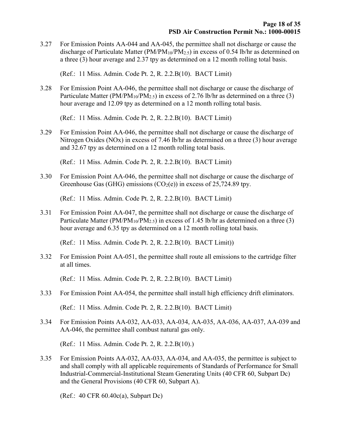3.27 For Emission Points AA-044 and AA-045, the permittee shall not discharge or cause the discharge of Particulate Matter ( $PM/PM_{10}/PM_{2.5}$ ) in excess of 0.54 lb/hr as determined on a three (3) hour average and 2.37 tpy as determined on a 12 month rolling total basis.

(Ref.: 11 Miss. Admin. Code Pt. 2, R. 2.2.B(10). BACT Limit)

3.28 For Emission Point AA-046, the permittee shall not discharge or cause the discharge of Particulate Matter (PM/PM<sub>10</sub>/PM<sub>2.5</sub>) in excess of 2.76 lb/hr as determined on a three (3) hour average and 12.09 tpy as determined on a 12 month rolling total basis.

(Ref.: 11 Miss. Admin. Code Pt. 2, R. 2.2.B(10). BACT Limit)

3.29 For Emission Point AA-046, the permittee shall not discharge or cause the discharge of Nitrogen Oxides (NOx) in excess of 7.46 lb/hr as determined on a three (3) hour average and 32.67 tpy as determined on a 12 month rolling total basis.

(Ref.: 11 Miss. Admin. Code Pt. 2, R. 2.2.B(10). BACT Limit)

3.30 For Emission Point AA-046, the permittee shall not discharge or cause the discharge of Greenhouse Gas (GHG) emissions (CO<sub>2</sub>(e)) in excess of 25,724.89 tpy.

(Ref.: 11 Miss. Admin. Code Pt. 2, R. 2.2.B(10). BACT Limit)

3.31 For Emission Point AA-047, the permittee shall not discharge or cause the discharge of Particulate Matter (PM/PM<sub>10</sub>/PM<sub>2.5</sub>) in excess of 1.45 lb/hr as determined on a three (3) hour average and 6.35 tpy as determined on a 12 month rolling total basis.

(Ref.: 11 Miss. Admin. Code Pt. 2, R. 2.2.B(10). BACT Limit))

3.32 For Emission Point AA-051, the permittee shall route all emissions to the cartridge filter at all times.

(Ref.: 11 Miss. Admin. Code Pt. 2, R. 2.2.B(10). BACT Limit)

- 3.33 For Emission Point AA-054, the permittee shall install high efficiency drift eliminators. (Ref.: 11 Miss. Admin. Code Pt. 2, R. 2.2.B(10). BACT Limit)
- 3.34 For Emission Points AA-032, AA-033, AA-034, AA-035, AA-036, AA-037, AA-039 and AA-046, the permittee shall combust natural gas only.

(Ref.: 11 Miss. Admin. Code Pt. 2, R. 2.2.B(10).)

3.35 For Emission Points AA-032, AA-033, AA-034, and AA-035, the permittee is subject to and shall comply with all applicable requirements of Standards of Performance for Small Industrial-Commercial-Institutional Steam Generating Units (40 CFR 60, Subpart Dc) and the General Provisions (40 CFR 60, Subpart A).

(Ref.: 40 CFR 60.40c(a), Subpart Dc)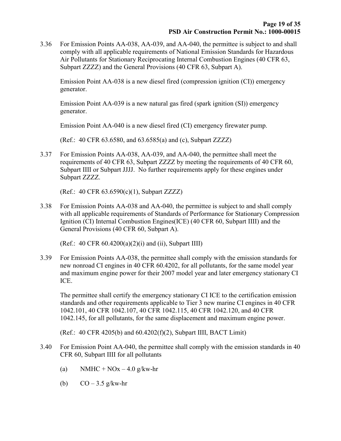3.36 For Emission Points AA-038, AA-039, and AA-040, the permittee is subject to and shall comply with all applicable requirements of National Emission Standards for Hazardous Air Pollutants for Stationary Reciprocating Internal Combustion Engines (40 CFR 63, Subpart ZZZZ) and the General Provisions (40 CFR 63, Subpart A).

 Emission Point AA-038 is a new diesel fired (compression ignition (CI)) emergency generator.

 Emission Point AA-039 is a new natural gas fired (spark ignition (SI)) emergency generator.

Emission Point AA-040 is a new diesel fired (CI) emergency firewater pump.

(Ref.: 40 CFR 63.6580, and 63.6585(a) and (c), Subpart ZZZZ)

3.37 For Emission Points AA-038, AA-039, and AA-040, the permittee shall meet the requirements of 40 CFR 63, Subpart ZZZZ by meeting the requirements of 40 CFR 60, Subpart IIII or Subpart JJJJ. No further requirements apply for these engines under Subpart ZZZZ.

(Ref.: 40 CFR 63.6590(c)(1), Subpart ZZZZ)

3.38 For Emission Points AA-038 and AA-040, the permittee is subject to and shall comply with all applicable requirements of Standards of Performance for Stationary Compression Ignition (CI) Internal Combustion Engines(ICE) (40 CFR 60, Subpart IIII) and the General Provisions (40 CFR 60, Subpart A).

(Ref.: 40 CFR  $60.4200(a)(2)(i)$  and (ii), Subpart IIII)

3.39 For Emission Points AA-038, the permittee shall comply with the emission standards for new nonroad CI engines in 40 CFR 60.4202, for all pollutants, for the same model year and maximum engine power for their 2007 model year and later emergency stationary CI ICE.

 The permittee shall certify the emergency stationary CI ICE to the certification emission standards and other requirements applicable to Tier 3 new marine CI engines in 40 CFR 1042.101, 40 CFR 1042.107, 40 CFR 1042.115, 40 CFR 1042.120, and 40 CFR 1042.145, for all pollutants, for the same displacement and maximum engine power.

(Ref.: 40 CFR 4205(b) and 60.4202(f)(2), Subpart IIII, BACT Limit)

- 3.40 For Emission Point AA-040, the permittee shall comply with the emission standards in 40 CFR 60, Subpart IIII for all pollutants
	- (a) NMHC + NOx 4.0 g/kw-hr
	- (b)  $CO 3.5$  g/kw-hr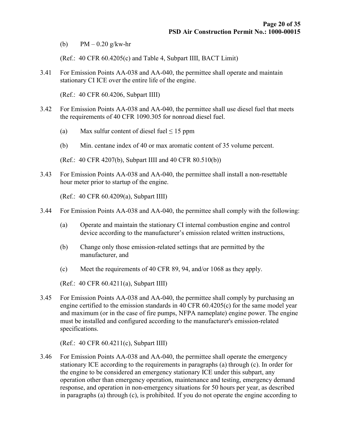(b)  $PM - 0.20$  g/kw-hr

(Ref.: 40 CFR 60.4205(c) and Table 4, Subpart IIII, BACT Limit)

3.41 For Emission Points AA-038 and AA-040, the permittee shall operate and maintain stationary CI ICE over the entire life of the engine.

(Ref.: 40 CFR 60.4206, Subpart IIII)

- 3.42 For Emission Points AA-038 and AA-040, the permittee shall use diesel fuel that meets the requirements of 40 CFR 1090.305 for nonroad diesel fuel.
	- (a) Max sulfur content of diesel fuel  $\leq 15$  ppm
	- (b) Min. centane index of 40 or max aromatic content of 35 volume percent.

(Ref.: 40 CFR 4207(b), Subpart IIII and 40 CFR 80.510(b))

3.43 For Emission Points AA-038 and AA-040, the permittee shall install a non-resettable hour meter prior to startup of the engine.

(Ref.: 40 CFR 60.4209(a), Subpart IIII)

- 3.44 For Emission Points AA-038 and AA-040, the permittee shall comply with the following:
	- (a) Operate and maintain the stationary CI internal combustion engine and control device according to the manufacturer's emission related written instructions,
	- (b) Change only those emission-related settings that are permitted by the manufacturer, and
	- (c) Meet the requirements of 40 CFR 89, 94, and/or 1068 as they apply.

(Ref.: 40 CFR 60.4211(a), Subpart IIII)

3.45 For Emission Points AA-038 and AA-040, the permittee shall comply by purchasing an engine certified to the emission standards in 40 CFR 60.4205(c) for the same model year and maximum (or in the case of fire pumps, NFPA nameplate) engine power. The engine must be installed and configured according to the manufacturer's emission-related specifications.

(Ref.: 40 CFR 60.4211(c), Subpart IIII)

3.46 For Emission Points AA-038 and AA-040, the permittee shall operate the emergency stationary ICE according to the requirements in paragraphs (a) through (c). In order for the engine to be considered an emergency stationary ICE under this subpart, any operation other than emergency operation, maintenance and testing, emergency demand response, and operation in non-emergency situations for 50 hours per year, as described in paragraphs (a) through (c), is prohibited. If you do not operate the engine according to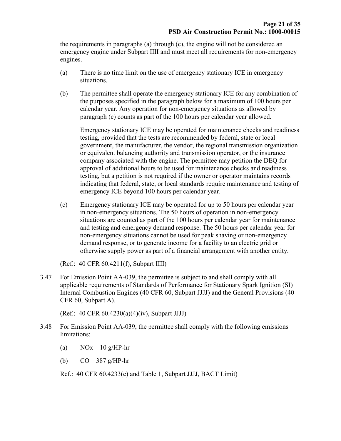the requirements in paragraphs (a) through (c), the engine will not be considered an emergency engine under Subpart IIII and must meet all requirements for non-emergency engines.

- (a) There is no time limit on the use of emergency stationary ICE in emergency situations.
- (b) The permittee shall operate the emergency stationary ICE for any combination of the purposes specified in the paragraph below for a maximum of 100 hours per calendar year. Any operation for non-emergency situations as allowed by paragraph (c) counts as part of the 100 hours per calendar year allowed.

Emergency stationary ICE may be operated for maintenance checks and readiness testing, provided that the tests are recommended by federal, state or local government, the manufacturer, the vendor, the regional transmission organization or equivalent balancing authority and transmission operator, or the insurance company associated with the engine. The permittee may petition the DEQ for approval of additional hours to be used for maintenance checks and readiness testing, but a petition is not required if the owner or operator maintains records indicating that federal, state, or local standards require maintenance and testing of emergency ICE beyond 100 hours per calendar year.

(c) Emergency stationary ICE may be operated for up to 50 hours per calendar year in non-emergency situations. The 50 hours of operation in non-emergency situations are counted as part of the 100 hours per calendar year for maintenance and testing and emergency demand response. The 50 hours per calendar year for non-emergency situations cannot be used for peak shaving or non-emergency demand response, or to generate income for a facility to an electric grid or otherwise supply power as part of a financial arrangement with another entity.

(Ref.: 40 CFR 60.4211(f), Subpart IIII)

3.47 For Emission Point AA-039, the permittee is subject to and shall comply with all applicable requirements of Standards of Performance for Stationary Spark Ignition (SI) Internal Combustion Engines (40 CFR 60, Subpart JJJJ) and the General Provisions (40 CFR 60, Subpart A).

(Ref.: 40 CFR 60.4230(a)(4)(iv), Subpart JJJJ)

- 3.48 For Emission Point AA-039, the permittee shall comply with the following emissions limitations:
	- (a)  $NOx 10 g/HP-hr$
	- (b)  $CO 387$  g/HP-hr

Ref.: 40 CFR 60.4233(e) and Table 1, Subpart JJJJ, BACT Limit)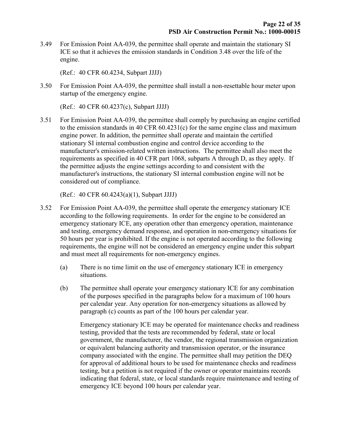3.49 For Emission Point AA-039, the permittee shall operate and maintain the stationary SI ICE so that it achieves the emission standards in Condition 3.48 over the life of the engine.

(Ref.: 40 CFR 60.4234, Subpart JJJJ)

3.50 For Emission Point AA-039, the permittee shall install a non-resettable hour meter upon startup of the emergency engine.

(Ref.: 40 CFR 60.4237(c), Subpart JJJJ)

3.51 For Emission Point AA-039, the permittee shall comply by purchasing an engine certified to the emission standards in 40 CFR 60.4231(c) for the same engine class and maximum engine power. In addition, the permittee shall operate and maintain the certified stationary SI internal combustion engine and control device according to the manufacturer's emission-related written instructions. The permittee shall also meet the requirements as specified in 40 CFR part 1068, subparts A through D, as they apply. If the permittee adjusts the engine settings according to and consistent with the manufacturer's instructions, the stationary SI internal combustion engine will not be considered out of compliance.

(Ref.: 40 CFR 60.4243(a)(1), Subpart JJJJ)

- 3.52 For Emission Point AA-039, the permittee shall operate the emergency stationary ICE according to the following requirements. In order for the engine to be considered an emergency stationary ICE, any operation other than emergency operation, maintenance and testing, emergency demand response, and operation in non-emergency situations for 50 hours per year is prohibited. If the engine is not operated according to the following requirements, the engine will not be considered an emergency engine under this subpart and must meet all requirements for non-emergency engines.
	- (a) There is no time limit on the use of emergency stationary ICE in emergency situations.
	- (b) The permittee shall operate your emergency stationary ICE for any combination of the purposes specified in the paragraphs below for a maximum of 100 hours per calendar year. Any operation for non-emergency situations as allowed by paragraph (c) counts as part of the 100 hours per calendar year.

Emergency stationary ICE may be operated for maintenance checks and readiness testing, provided that the tests are recommended by federal, state or local government, the manufacturer, the vendor, the regional transmission organization or equivalent balancing authority and transmission operator, or the insurance company associated with the engine. The permittee shall may petition the DEQ for approval of additional hours to be used for maintenance checks and readiness testing, but a petition is not required if the owner or operator maintains records indicating that federal, state, or local standards require maintenance and testing of emergency ICE beyond 100 hours per calendar year.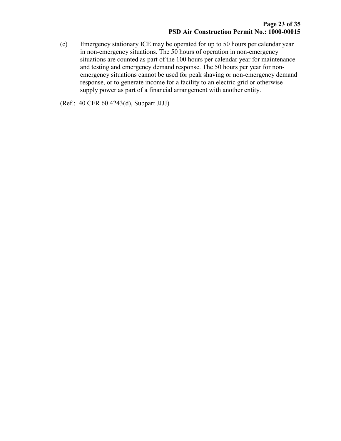(c) Emergency stationary ICE may be operated for up to 50 hours per calendar year in non-emergency situations. The 50 hours of operation in non-emergency situations are counted as part of the 100 hours per calendar year for maintenance and testing and emergency demand response. The 50 hours per year for nonemergency situations cannot be used for peak shaving or non-emergency demand response, or to generate income for a facility to an electric grid or otherwise supply power as part of a financial arrangement with another entity.

(Ref.: 40 CFR 60.4243(d), Subpart JJJJ)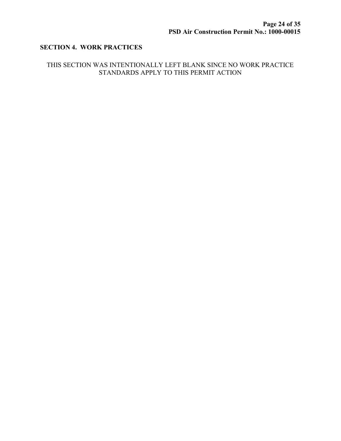### SECTION 4. WORK PRACTICES

#### THIS SECTION WAS INTENTIONALLY LEFT BLANK SINCE NO WORK PRACTICE STANDARDS APPLY TO THIS PERMIT ACTION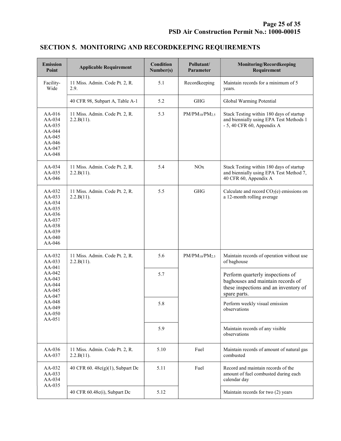| <b>Emission</b><br>Point                                                                         | <b>Applicable Requirement</b>                | <b>Condition</b><br>Number(s) | Pollutant/<br>Parameter | <b>Monitoring/Recordkeeping</b><br>Requirement                                                                                 |
|--------------------------------------------------------------------------------------------------|----------------------------------------------|-------------------------------|-------------------------|--------------------------------------------------------------------------------------------------------------------------------|
| Facility-<br>Wide                                                                                | 11 Miss. Admin. Code Pt. 2, R.<br>2.9.       | 5.1                           | Recordkeeping           | Maintain records for a minimum of 5<br>years.                                                                                  |
|                                                                                                  | 40 CFR 98, Subpart A, Table A-1              | 5.2                           | <b>GHG</b>              | Global Warming Potential                                                                                                       |
| AA-016<br>AA-034<br>AA-035<br>AA-044<br>AA-045<br>AA-046<br>AA-047<br>AA-048                     | 11 Miss. Admin. Code Pt. 2, R.<br>2.2.B(11). | 5.3                           | $PM/PM_{10}/PM_{2.5}$   | Stack Testing within 180 days of startup<br>and biennially using EPA Test Methods 1<br>$-5$ , 40 CFR 60, Appendix A            |
| AA-034<br>AA-035<br>AA-046                                                                       | 11 Miss. Admin. Code Pt. 2, R.<br>2.2.B(11). | 5.4                           | <b>NO</b> x             | Stack Testing within 180 days of startup<br>and biennially using EPA Test Method 7,<br>40 CFR 60, Appendix A                   |
| AA-032<br>AA-033<br>AA-034<br>AA-035<br>AA-036<br>AA-037<br>AA-038<br>AA-039<br>AA-040<br>AA-046 | 11 Miss. Admin. Code Pt. 2, R.<br>2.2.B(11). | 5.5                           | <b>GHG</b>              | Calculate and record $CO2(e)$ emissions on<br>a 12-month rolling average                                                       |
| AA-032<br>AA-033<br>AA-041                                                                       | 11 Miss. Admin. Code Pt. 2, R.<br>2.2.B(11). | 5.6                           | $PM/PM_{10}/PM_{2.5}$   | Maintain records of operation without use<br>of baghouse                                                                       |
| AA-042<br>AA-043<br>AA-044<br>AA-045<br>AA-047                                                   |                                              | 5.7                           |                         | Perform quarterly inspections of<br>baghouses and maintain records of<br>these inspections and an inventory of<br>spare parts. |
| AA-048<br>AA-049<br>AA-050<br>AA-051                                                             |                                              | 5.8                           |                         | Perform weekly visual emission<br>observations                                                                                 |
|                                                                                                  |                                              | 5.9                           |                         | Maintain records of any visible<br>observations                                                                                |
| AA-036<br>AA-037                                                                                 | 11 Miss. Admin. Code Pt. 2, R.<br>2.2.B(11). | 5.10                          | Fuel                    | Maintain records of amount of natural gas<br>combusted                                                                         |
| AA-032<br>AA-033<br>AA-034<br>AA-035                                                             | 40 CFR 60. 48c(g)(1), Subpart Dc             | 5.11                          | Fuel                    | Record and maintain records of the<br>amount of fuel combusted during each<br>calendar day                                     |
|                                                                                                  | 40 CFR 60.48c(i), Subpart Dc                 | 5.12                          |                         | Maintain records for two (2) years                                                                                             |

# SECTION 5. MONITORING AND RECORDKEEPING REQUIREMENTS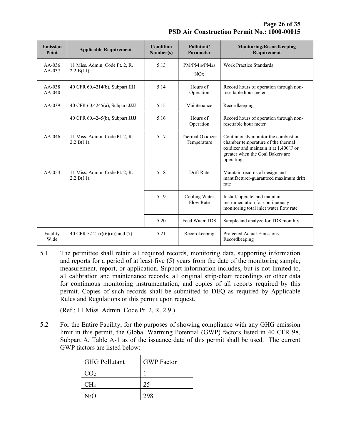Page 26 of 35 PSD Air Construction Permit No.: 1000-00015

| <b>Emission</b><br>Point | <b>Applicable Requirement</b>                   | Condition<br>Number(s) | Pollutant/<br>Parameter           | <b>Monitoring/Recordkeeping</b><br>Requirement                                                                                                                        |
|--------------------------|-------------------------------------------------|------------------------|-----------------------------------|-----------------------------------------------------------------------------------------------------------------------------------------------------------------------|
| $AA-036$<br>$AA-037$     | 11 Miss. Admin. Code Pt. 2, R.<br>$2.2.B(11)$ . | 5.13                   | $PM/PM_{10}/PM_{2.5}$<br>NOx      | <b>Work Practice Standards</b>                                                                                                                                        |
| $AA-038$<br>$AA-040$     | 40 CFR 60.4214(b), Subpart IIII                 | 5.14                   | Hours of<br>Operation             | Record hours of operation through non-<br>resettable hour meter                                                                                                       |
| AA-039                   | 40 CFR 60.4245(a), Subpart JJJJ                 | 5.15                   | Maintenance                       | Recordkeeping                                                                                                                                                         |
|                          | 40 CFR 60.4245(b), Subpart JJJJ                 | 5.16                   | Hours of<br>Operation             | Record hours of operation through non-<br>resettable hour meter                                                                                                       |
| $AA-046$                 | 11 Miss. Admin. Code Pt. 2, R.<br>2.2.B(11).    | 5.17                   | Thermal Oxidizer<br>Temperature   | Continuously monitor the combustion<br>chamber temperature of the thermal<br>oxidizer and maintain it at 1,400°F or<br>greater when the Coal Bakers are<br>operating. |
| $AA-054$                 | 11 Miss. Admin. Code Pt. 2, R.<br>$2.2.B(11)$ . | 5.18                   | Drift Rate                        | Maintain records of design and<br>manufacturer-guaranteed maximum drift<br>rate                                                                                       |
|                          |                                                 | 5.19                   | Cooling Water<br><b>Flow Rate</b> | Install, operate, and maintain<br>instrumentation for continuously<br>monitoring total inlet water flow rate                                                          |
|                          |                                                 | 5.20                   | Feed Water TDS                    | Sample and analyze for TDS monthly                                                                                                                                    |
| Facility<br>Wide         | 40 CFR $52.21(r)(6)(iii)$ and (7)               | 5.21                   | Recordkeeping                     | Projected Actual Emissions<br>Recordkeeping                                                                                                                           |

5.1 The permittee shall retain all required records, monitoring data, supporting information and reports for a period of at least five (5) years from the date of the monitoring sample, measurement, report, or application. Support information includes, but is not limited to, all calibration and maintenance records, all original strip-chart recordings or other data for continuous monitoring instrumentation, and copies of all reports required by this permit. Copies of such records shall be submitted to DEQ as required by Applicable Rules and Regulations or this permit upon request.

(Ref.: 11 Miss. Admin. Code Pt. 2, R. 2.9.)

5.2 For the Entire Facility, for the purposes of showing compliance with any GHG emission limit in this permit, the Global Warming Potential (GWP) factors listed in 40 CFR 98, Subpart A, Table A-1 as of the issuance date of this permit shall be used. The current GWP factors are listed below:

| <b>GHG Pollutant</b> | <b>GWP</b> Factor |
|----------------------|-------------------|
| CO <sub>2</sub>      |                   |
| CH <sub>4</sub>      | 25                |
| $N_2$ O              |                   |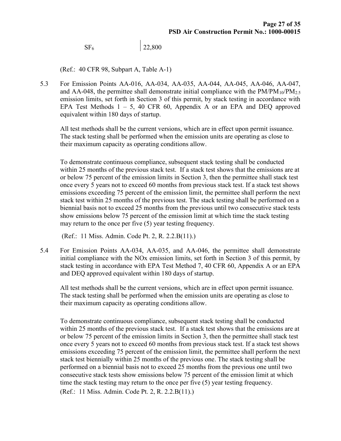$SF<sub>6</sub>$  22,800

(Ref.: 40 CFR 98, Subpart A, Table A-1)

5.3 For Emission Points AA-016, AA-034, AA-035, AA-044, AA-045, AA-046, AA-047, and AA-048, the permittee shall demonstrate initial compliance with the  $PM/PM_{10}/PM_{2.5}$ emission limits, set forth in Section 3 of this permit, by stack testing in accordance with EPA Test Methods 1 – 5, 40 CFR 60, Appendix A or an EPA and DEQ approved equivalent within 180 days of startup.

 All test methods shall be the current versions, which are in effect upon permit issuance. The stack testing shall be performed when the emission units are operating as close to their maximum capacity as operating conditions allow.

 To demonstrate continuous compliance, subsequent stack testing shall be conducted within 25 months of the previous stack test. If a stack test shows that the emissions are at or below 75 percent of the emission limits in Section 3, then the permittee shall stack test once every 5 years not to exceed 60 months from previous stack test. If a stack test shows emissions exceeding 75 percent of the emission limit, the permittee shall perform the next stack test within 25 months of the previous test. The stack testing shall be performed on a biennial basis not to exceed 25 months from the previous until two consecutive stack tests show emissions below 75 percent of the emission limit at which time the stack testing may return to the once per five (5) year testing frequency.

(Ref.: 11 Miss. Admin. Code Pt. 2, R. 2.2.B(11).)

5.4 For Emission Points AA-034, AA-035, and AA-046, the permittee shall demonstrate initial compliance with the NOx emission limits, set forth in Section 3 of this permit, by stack testing in accordance with EPA Test Method 7, 40 CFR 60, Appendix A or an EPA and DEQ approved equivalent within 180 days of startup.

 All test methods shall be the current versions, which are in effect upon permit issuance. The stack testing shall be performed when the emission units are operating as close to their maximum capacity as operating conditions allow.

 To demonstrate continuous compliance, subsequent stack testing shall be conducted within 25 months of the previous stack test. If a stack test shows that the emissions are at or below 75 percent of the emission limits in Section 3, then the permittee shall stack test once every 5 years not to exceed 60 months from previous stack test. If a stack test shows emissions exceeding 75 percent of the emission limit, the permittee shall perform the next stack test biennially within 25 months of the previous one. The stack testing shall be performed on a biennial basis not to exceed 25 months from the previous one until two consecutive stack tests show emissions below 75 percent of the emission limit at which time the stack testing may return to the once per five (5) year testing frequency. (Ref.: 11 Miss. Admin. Code Pt. 2, R. 2.2.B(11).)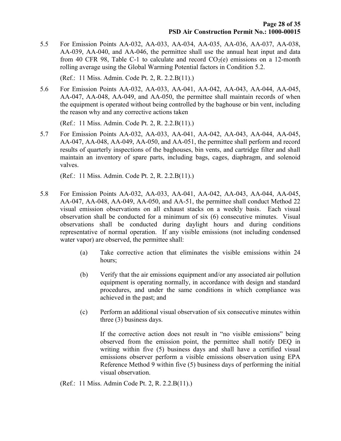5.5 For Emission Points AA-032, AA-033, AA-034, AA-035, AA-036, AA-037, AA-038, AA-039, AA-040, and AA-046, the permittee shall use the annual heat input and data from 40 CFR 98, Table C-1 to calculate and record  $CO<sub>2</sub>(e)$  emissions on a 12-month rolling average using the Global Warming Potential factors in Condition 5.2.

(Ref.: 11 Miss. Admin. Code Pt. 2, R. 2.2.B(11).)

5.6 For Emission Points AA-032, AA-033, AA-041, AA-042, AA-043, AA-044, AA-045, AA-047, AA-048, AA-049, and AA-050, the permittee shall maintain records of when the equipment is operated without being controlled by the baghouse or bin vent, including the reason why and any corrective actions taken

(Ref.: 11 Miss. Admin. Code Pt. 2, R. 2.2.B(11).)

5.7 For Emission Points AA-032, AA-033, AA-041, AA-042, AA-043, AA-044, AA-045, AA-047, AA-048, AA-049, AA-050, and AA-051, the permittee shall perform and record results of quarterly inspections of the baghouses, bin vents, and cartridge filter and shall maintain an inventory of spare parts, including bags, cages, diaphragm, and solenoid valves.

(Ref.: 11 Miss. Admin. Code Pt. 2, R. 2.2.B(11).)

- 5.8 For Emission Points AA-032, AA-033, AA-041, AA-042, AA-043, AA-044, AA-045, AA-047, AA-048, AA-049, AA-050, and AA-51, the permittee shall conduct Method 22 visual emission observations on all exhaust stacks on a weekly basis. Each visual observation shall be conducted for a minimum of six (6) consecutive minutes. Visual observations shall be conducted during daylight hours and during conditions representative of normal operation. If any visible emissions (not including condensed water vapor) are observed, the permittee shall:
	- (a) Take corrective action that eliminates the visible emissions within 24 hours;
	- (b) Verify that the air emissions equipment and/or any associated air pollution equipment is operating normally, in accordance with design and standard procedures, and under the same conditions in which compliance was achieved in the past; and
	- (c) Perform an additional visual observation of six consecutive minutes within three (3) business days.

If the corrective action does not result in "no visible emissions" being observed from the emission point, the permittee shall notify DEQ in writing within five (5) business days and shall have a certified visual emissions observer perform a visible emissions observation using EPA Reference Method 9 within five (5) business days of performing the initial visual observation.

(Ref.: 11 Miss. Admin Code Pt. 2, R. 2.2.B(11).)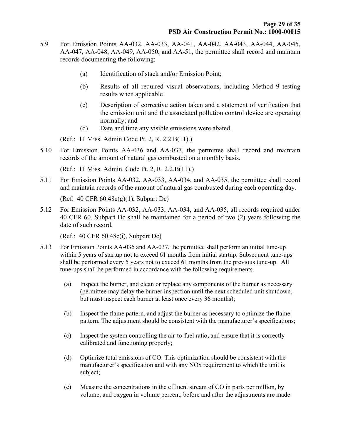- 5.9 For Emission Points AA-032, AA-033, AA-041, AA-042, AA-043, AA-044, AA-045, AA-047, AA-048, AA-049, AA-050, and AA-51, the permittee shall record and maintain records documenting the following:
	- (a) Identification of stack and/or Emission Point;
	- (b) Results of all required visual observations, including Method 9 testing results when applicable
	- (c) Description of corrective action taken and a statement of verification that the emission unit and the associated pollution control device are operating normally; and
	- (d) Date and time any visible emissions were abated.

(Ref.: 11 Miss. Admin Code Pt. 2, R. 2.2.B(11).)

5.10 For Emission Points AA-036 and AA-037, the permittee shall record and maintain records of the amount of natural gas combusted on a monthly basis.

(Ref.: 11 Miss. Admin. Code Pt. 2, R. 2.2.B(11).)

5.11 For Emission Points AA-032, AA-033, AA-034, and AA-035, the permittee shall record and maintain records of the amount of natural gas combusted during each operating day.

(Ref. 40 CFR 60.48c(g)(1), Subpart Dc)

5.12 For Emission Points AA-032, AA-033, AA-034, and AA-035, all records required under 40 CFR 60, Subpart Dc shall be maintained for a period of two (2) years following the date of such record.

(Ref.: 40 CFR 60.48c(i), Subpart Dc)

- 5.13 For Emission Points AA-036 and AA-037, the permittee shall perform an initial tune-up within 5 years of startup not to exceed 61 months from initial startup. Subsequent tune-ups shall be performed every 5 years not to exceed 61 months from the previous tune-up. All tune-ups shall be performed in accordance with the following requirements.
	- (a) Inspect the burner, and clean or replace any components of the burner as necessary (permittee may delay the burner inspection until the next scheduled unit shutdown, but must inspect each burner at least once every 36 months);
	- (b) Inspect the flame pattern, and adjust the burner as necessary to optimize the flame pattern. The adjustment should be consistent with the manufacturer's specifications;
	- (c) Inspect the system controlling the air-to-fuel ratio, and ensure that it is correctly calibrated and functioning properly;
	- (d) Optimize total emissions of CO. This optimization should be consistent with the manufacturer's specification and with any NOx requirement to which the unit is subject;
	- (e) Measure the concentrations in the effluent stream of CO in parts per million, by volume, and oxygen in volume percent, before and after the adjustments are made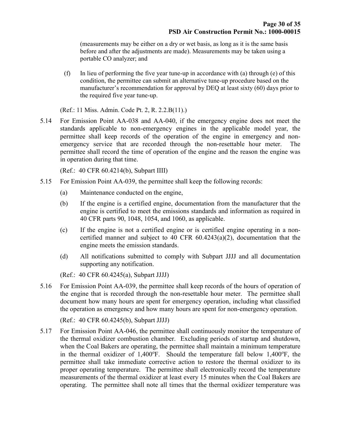(measurements may be either on a dry or wet basis, as long as it is the same basis before and after the adjustments are made). Measurements may be taken using a portable CO analyzer; and

(f) In lieu of performing the five year tune-up in accordance with (a) through (e) of this condition, the permittee can submit an alternative tune-up procedure based on the manufacturer's recommendation for approval by DEQ at least sixty (60) days prior to the required five year tune-up.

(Ref.: 11 Miss. Admin. Code Pt. 2, R. 2.2.B(11).)

5.14 For Emission Point AA-038 and AA-040, if the emergency engine does not meet the standards applicable to non-emergency engines in the applicable model year, the permittee shall keep records of the operation of the engine in emergency and nonemergency service that are recorded through the non-resettable hour meter. The permittee shall record the time of operation of the engine and the reason the engine was in operation during that time.

(Ref.: 40 CFR 60.4214(b), Subpart IIII)

- 5.15 For Emission Point AA-039, the permittee shall keep the following records:
	- (a) Maintenance conducted on the engine,
	- (b) If the engine is a certified engine, documentation from the manufacturer that the engine is certified to meet the emissions standards and information as required in 40 CFR parts 90, 1048, 1054, and 1060, as applicable.
	- (c) If the engine is not a certified engine or is certified engine operating in a noncertified manner and subject to 40 CFR 60.4243(a)(2), documentation that the engine meets the emission standards.
	- (d) All notifications submitted to comply with Subpart JJJJ and all documentation supporting any notification.

(Ref.: 40 CFR 60.4245(a), Subpart JJJJ)

5.16 For Emission Point AA-039, the permittee shall keep records of the hours of operation of the engine that is recorded through the non-resettable hour meter. The permittee shall document how many hours are spent for emergency operation, including what classified the operation as emergency and how many hours are spent for non-emergency operation.

(Ref.: 40 CFR 60.4245(b), Subpart JJJJ)

5.17 For Emission Point AA-046, the permittee shall continuously monitor the temperature of the thermal oxidizer combustion chamber. Excluding periods of startup and shutdown, when the Coal Bakers are operating, the permittee shall maintain a minimum temperature in the thermal oxidizer of 1,400 $^{\circ}$ F. Should the temperature fall below 1,400 $^{\circ}$ F, the permittee shall take immediate corrective action to restore the thermal oxidizer to its proper operating temperature. The permittee shall electronically record the temperature measurements of the thermal oxidizer at least every 15 minutes when the Coal Bakers are operating. The permittee shall note all times that the thermal oxidizer temperature was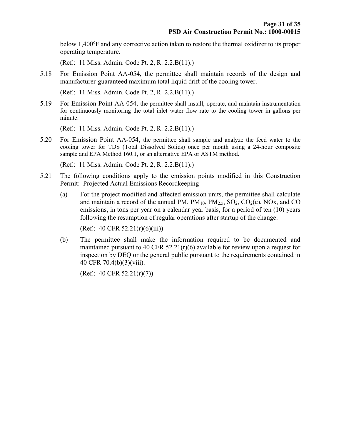below  $1,400^{\circ}$ F and any corrective action taken to restore the thermal oxidizer to its proper operating temperature.

(Ref.: 11 Miss. Admin. Code Pt. 2, R. 2.2.B(11).)

5.18 For Emission Point AA-054, the permittee shall maintain records of the design and manufacturer-guaranteed maximum total liquid drift of the cooling tower.

(Ref.: 11 Miss. Admin. Code Pt. 2, R. 2.2.B(11).)

5.19 For Emission Point AA-054, the permittee shall install, operate, and maintain instrumentation for continuously monitoring the total inlet water flow rate to the cooling tower in gallons per minute.

(Ref.: 11 Miss. Admin. Code Pt. 2, R. 2.2.B(11).)

5.20 For Emission Point AA-054, the permittee shall sample and analyze the feed water to the cooling tower for TDS (Total Dissolved Solids) once per month using a 24-hour composite sample and EPA Method 160.1, or an alternative EPA or ASTM method.

(Ref.: 11 Miss. Admin. Code Pt. 2, R. 2.2.B(11).)

- 5.21 The following conditions apply to the emission points modified in this Construction Permit: Projected Actual Emissions Recordkeeping
	- (a) For the project modified and affected emission units, the permittee shall calculate and maintain a record of the annual PM,  $PM_{10}$ ,  $PM_{2.5}$ ,  $SO_2$ ,  $CO_2(e)$ ,  $NOx$ , and  $CO$ emissions, in tons per year on a calendar year basis, for a period of ten (10) years following the resumption of regular operations after startup of the change.

 $(Ref.: 40 CFR 52.21(r)(6)(iii))$ 

(b) The permittee shall make the information required to be documented and maintained pursuant to 40 CFR 52.21 $(r)(6)$  available for review upon a request for inspection by DEQ or the general public pursuant to the requirements contained in 40 CFR 70.4(b)(3)(viii).

(Ref.: 40 CFR  $52.21(r)(7)$ )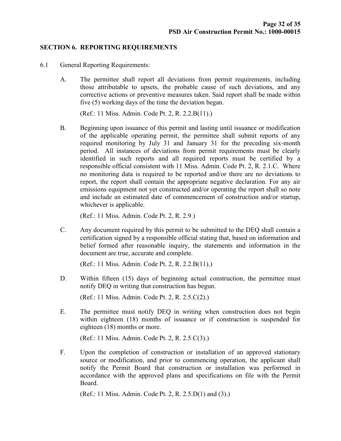#### SECTION 6. REPORTING REQUIREMENTS

- 6.1 General Reporting Requirements:
	- A. The permittee shall report all deviations from permit requirements, including those attributable to upsets, the probable cause of such deviations, and any corrective actions or preventive measures taken. Said report shall be made within five (5) working days of the time the deviation began.

(Ref.: 11 Miss. Admin. Code Pt. 2, R. 2.2.B(11).)

B. Beginning upon issuance of this permit and lasting until issuance or modification of the applicable operating permit, the permittee shall submit reports of any required monitoring by July 31 and January 31 for the preceding six-month period. All instances of deviations from permit requirements must be clearly identified in such reports and all required reports must be certified by a responsible official consistent with 11 Miss. Admin. Code Pt. 2, R. 2.1.C. Where no monitoring data is required to be reported and/or there are no deviations to report, the report shall contain the appropriate negative declaration. For any air emissions equipment not yet constructed and/or operating the report shall so note and include an estimated date of commencement of construction and/or startup, whichever is applicable.

(Ref.: 11 Miss. Admin. Code Pt. 2, R. 2.9.)

C. Any document required by this permit to be submitted to the DEQ shall contain a certification signed by a responsible official stating that, based on information and belief formed after reasonable inquiry, the statements and information in the document are true, accurate and complete.

(Ref.: 11 Miss. Admin. Code Pt. 2, R. 2.2.B(11).)

D. Within fifteen (15) days of beginning actual construction, the permittee must notify DEQ in writing that construction has begun.

(Ref.: 11 Miss. Admin. Code Pt. 2, R. 2.5.C(2).)

E. The permittee must notify DEQ in writing when construction does not begin within eighteen (18) months of issuance or if construction is suspended for eighteen (18) months or more.

(Ref.: 11 Miss. Admin. Code Pt. 2, R. 2.5.C(3).)

F. Upon the completion of construction or installation of an approved stationary source or modification, and prior to commencing operation, the applicant shall notify the Permit Board that construction or installation was performed in accordance with the approved plans and specifications on file with the Permit Board.

(Ref.: 11 Miss. Admin. Code Pt. 2, R. 2.5.D(1) and (3).)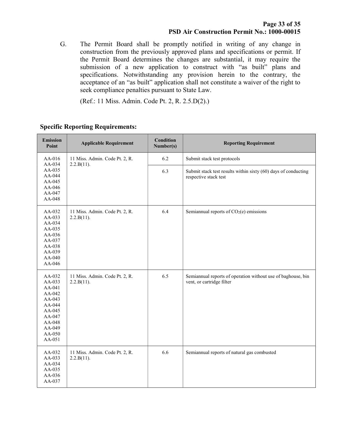G. The Permit Board shall be promptly notified in writing of any change in construction from the previously approved plans and specifications or permit. If the Permit Board determines the changes are substantial, it may require the submission of a new application to construct with "as built" plans and specifications. Notwithstanding any provision herein to the contrary, the acceptance of an "as built" application shall not constitute a waiver of the right to seek compliance penalties pursuant to State Law.

(Ref.: 11 Miss. Admin. Code Pt. 2, R. 2.5.D(2).)

| <b>Emission</b><br>Point                                                                                             | <b>Applicable Requirement</b>                | <b>Condition</b><br>Number(s) | <b>Reporting Requirement</b>                                                              |
|----------------------------------------------------------------------------------------------------------------------|----------------------------------------------|-------------------------------|-------------------------------------------------------------------------------------------|
| AA-016<br>AA-034                                                                                                     | 11 Miss. Admin. Code Pt. 2, R.<br>2.2.B(11). | 6.2                           | Submit stack test protocols                                                               |
| AA-035<br>AA-044<br>AA-045<br>AA-046<br>AA-047<br>AA-048                                                             |                                              | 6.3                           | Submit stack test results within sixty (60) days of conducting<br>respective stack test   |
| AA-032<br>AA-033<br>AA-034<br>AA-035<br>AA-036<br>AA-037<br>AA-038<br>AA-039<br>AA-040<br>AA-046                     | 11 Miss. Admin. Code Pt. 2, R.<br>2.2.B(11). | 6.4                           | Semiannual reports of $CO2(e)$ emissions                                                  |
| AA-032<br>AA-033<br>AA-041<br>AA-042<br>AA-043<br>AA-044<br>AA-045<br>AA-047<br>AA-048<br>AA-049<br>AA-050<br>AA-051 | 11 Miss. Admin. Code Pt. 2, R.<br>2.2.B(11). | 6.5                           | Semiannual reports of operation without use of baghouse, bin<br>vent, or cartridge filter |
| AA-032<br>AA-033<br>AA-034<br>AA-035<br>AA-036<br>AA-037                                                             | 11 Miss. Admin. Code Pt. 2, R.<br>2.2.B(11). | 6.6                           | Semiannual reports of natural gas combusted                                               |

#### Specific Reporting Requirements: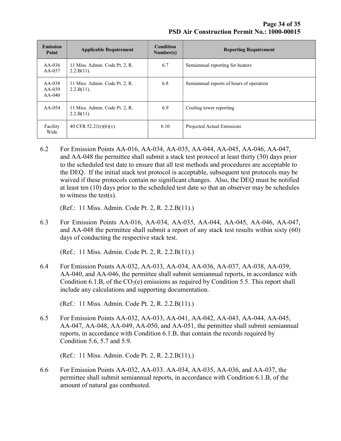| <b>Emission</b><br>Point         | <b>Applicable Requirement</b>                   | <b>Condition</b><br>Number(s) | <b>Reporting Requirement</b>             |
|----------------------------------|-------------------------------------------------|-------------------------------|------------------------------------------|
| $AA-036$<br>$AA-037$             | 11 Miss. Admin. Code Pt. 2, R.<br>$2.2.B(11)$ . | 6.7                           | Semiannual reporting for heaters         |
| $AA-038$<br>$AA-039$<br>$AA-040$ | 11 Miss. Admin. Code Pt. 2, R.<br>$2.2.B(11)$ . | 6.8                           | Semiannual reports of hours of operation |
| $AA-0.54$                        | 11 Miss. Admin. Code Pt. 2, R.<br>$2.2.B(11)$ . | 6.9                           | Cooling tower reporting                  |
| Facility<br>Wide                 | 40 CFR 52.21(r)(6)(v)                           | 6.10                          | Projected Actual Emissions               |

6.2 For Emission Points AA-016, AA-034, AA-035, AA-044, AA-045, AA-046, AA-047, and AA-048 the permittee shall submit a stack test protocol at least thirty (30) days prior to the scheduled test date to ensure that all test methods and procedures are acceptable to the DEQ. If the initial stack test protocol is acceptable, subsequent test protocols may be waived if these protocols contain no significant changes. Also, the DEQ must be notified at least ten (10) days prior to the scheduled test date so that an observer may be schedules to witness the test(s).

(Ref.: 11 Miss. Admin. Code Pt. 2, R. 2.2.B(11).)

6.3 For Emission Points AA-016, AA-034, AA-035, AA-044, AA-045, AA-046, AA-047, and AA-048 the permittee shall submit a report of any stack test results within sixty (60) days of conducting the respective stack test.

(Ref.: 11 Miss. Admin. Code Pt. 2, R. 2.2.B(11).)

6.4 For Emission Points AA-032, AA-033, AA-034, AA-036, AA-037, AA-038, AA-039, AA-040, and AA-046, the permittee shall submit semiannual reports, in accordance with Condition 6.1.B, of the  $CO<sub>2</sub>(e)$  emissions as required by Condition 5.5. This report shall include any calculations and supporting documentation.

6.5 For Emission Points AA-032, AA-033, AA-041, AA-042, AA-043, AA-044, AA-045, AA-047, AA-048, AA-049, AA-050, and AA-051, the permittee shall submit semiannual reports, in accordance with Condition 6.1.B, that contain the records required by Condition 5.6, 5.7 and 5.9.

(Ref.: 11 Miss. Admin. Code Pt. 2, R. 2.2.B(11).)

6.6 For Emission Points AA-032, AA-033. AA-034, AA-035, AA-036, and AA-037, the permittee shall submit semiannual reports, in accordance with Condition 6.1.B, of the amount of natural gas combusted.

 <sup>(</sup>Ref.: 11 Miss. Admin. Code Pt. 2, R. 2.2.B(11).)